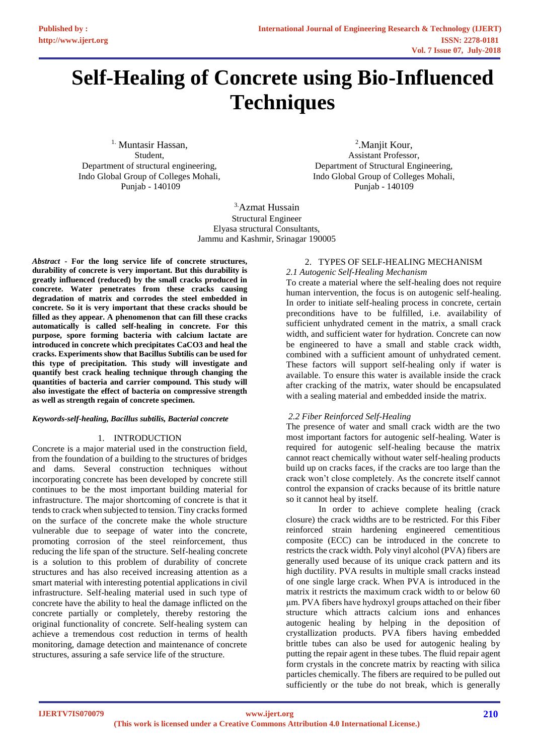# **Self-Healing of Concrete using Bio-Influenced Techniques**

1. Muntasir Hassan, Student, Department of structural engineering, Indo Global Group of Colleges Mohali, Punjab - 140109

<sup>2</sup>. Manjit Kour, Assistant Professor, Department of Structural Engineering, Indo Global Group of Colleges Mohali, Punjab - 140109

3.Azmat Hussain Structural Engineer Elyasa structural Consultants, Jammu and Kashmir, Srinagar 190005

*Abstract* **- For the long service life of concrete structures, durability of concrete is very important. But this durability is greatly influenced (reduced) by the small cracks produced in concrete. Water penetrates from these cracks causing degradation of matrix and corrodes the steel embedded in concrete. So it is very important that these cracks should be filled as they appear. A phenomenon that can fill these cracks automatically is called self-healing in concrete. For this purpose, spore forming bacteria with calcium lactate are introduced in concrete which precipitates CaCO3 and heal the cracks. Experiments show that Bacillus Subtilis can be used for this type of precipitation. This study will investigate and quantify best crack healing technique through changing the quantities of bacteria and carrier compound. This study will also investigate the effect of bacteria on compressive strength as well as strength regain of concrete specimen.**

## *Keywords-self-healing, Bacillus subtilis, Bacterial concrete*

## 1. INTRODUCTION

Concrete is a major material used in the construction field, from the foundation of a building to the structures of bridges and dams. Several construction techniques without incorporating concrete has been developed by concrete still continues to be the most important building material for infrastructure. The major shortcoming of concrete is that it tends to crack when subjected to tension. Tiny cracks formed on the surface of the concrete make the whole structure vulnerable due to seepage of water into the concrete, promoting corrosion of the steel reinforcement, thus reducing the life span of the structure. Self-healing concrete is a solution to this problem of durability of concrete structures and has also received increasing attention as a smart material with interesting potential applications in civil infrastructure. Self-healing material used in such type of concrete have the ability to heal the damage inflicted on the concrete partially or completely, thereby restoring the original functionality of concrete. Self-healing system can achieve a tremendous cost reduction in terms of health monitoring, damage detection and maintenance of concrete structures, assuring a safe service life of the structure.

#### 2. TYPES OF SELF-HEALING MECHANISM *2.1 Autogenic Self-Healing Mechanism*

To create a material where the self-healing does not require human intervention, the focus is on autogenic self-healing. In order to initiate self-healing process in concrete, certain preconditions have to be fulfilled, i.e. availability of sufficient unhydrated cement in the matrix, a small crack width, and sufficient water for hydration. Concrete can now be engineered to have a small and stable crack width, combined with a sufficient amount of unhydrated cement. These factors will support self-healing only if water is available. To ensure this water is available inside the crack after cracking of the matrix, water should be encapsulated with a sealing material and embedded inside the matrix.

# *2.2 Fiber Reinforced Self-Healing*

The presence of water and small crack width are the two most important factors for autogenic self-healing. Water is required for autogenic self-healing because the matrix cannot react chemically without water self-healing products build up on cracks faces, if the cracks are too large than the crack won't close completely. As the concrete itself cannot control the expansion of cracks because of its brittle nature so it cannot heal by itself.

 In order to achieve complete healing (crack closure) the crack widths are to be restricted. For this Fiber reinforced strain hardening engineered cementitious composite (ECC) can be introduced in the concrete to restricts the crack width. Poly vinyl alcohol (PVA) fibers are generally used because of its unique crack pattern and its high ductility. PVA results in multiple small cracks instead of one single large crack. When PVA is introduced in the matrix it restricts the maximum crack width to or below 60 μm. PVA fibers have hydroxyl groups attached on their fiber structure which attracts calcium ions and enhances autogenic healing by helping in the deposition of crystallization products. PVA fibers having embedded brittle tubes can also be used for autogenic healing by putting the repair agent in these tubes. The fluid repair agent form crystals in the concrete matrix by reacting with silica particles chemically. The fibers are required to be pulled out sufficiently or the tube do not break, which is generally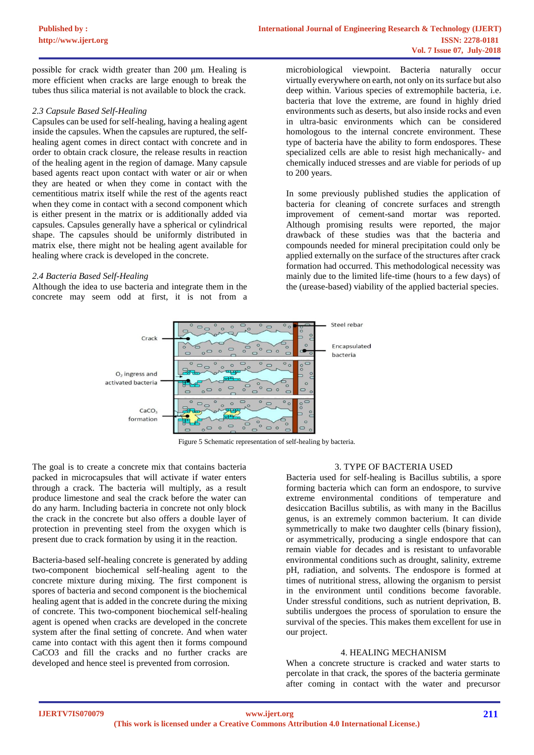possible for crack width greater than 200 μm. Healing is more efficient when cracks are large enough to break the tubes thus silica material is not available to block the crack.

## *2.3 Capsule Based Self-Healing*

Capsules can be used for self-healing, having a healing agent inside the capsules. When the capsules are ruptured, the selfhealing agent comes in direct contact with concrete and in order to obtain crack closure, the release results in reaction of the healing agent in the region of damage. Many capsule based agents react upon contact with water or air or when they are heated or when they come in contact with the cementitious matrix itself while the rest of the agents react when they come in contact with a second component which is either present in the matrix or is additionally added via capsules. Capsules generally have a spherical or cylindrical shape. The capsules should be uniformly distributed in matrix else, there might not be healing agent available for healing where crack is developed in the concrete.

## *2.4 Bacteria Based Self-Healing*

Although the idea to use bacteria and integrate them in the concrete may seem odd at first, it is not from a

microbiological viewpoint. Bacteria naturally occur virtually everywhere on earth, not only on its surface but also deep within. Various species of extremophile bacteria, i.e. bacteria that love the extreme, are found in highly dried environments such as deserts, but also inside rocks and even in ultra-basic environments which can be considered homologous to the internal concrete environment. These type of bacteria have the ability to form endospores. These specialized cells are able to resist high mechanically- and chemically induced stresses and are viable for periods of up to 200 years.

In some previously published studies the application of bacteria for cleaning of concrete surfaces and strength improvement of cement-sand mortar was reported. Although promising results were reported, the major drawback of these studies was that the bacteria and compounds needed for mineral precipitation could only be applied externally on the surface of the structures after crack formation had occurred. This methodological necessity was mainly due to the limited life-time (hours to a few days) of the (urease-based) viability of the applied bacterial species.



Figure 5 Schematic representation of self-healing by bacteria.

The goal is to create a concrete mix that contains bacteria packed in microcapsules that will activate if water enters through a crack. The bacteria will multiply, as a result produce limestone and seal the crack before the water can do any harm. Including bacteria in concrete not only block the crack in the concrete but also offers a double layer of protection in preventing steel from the oxygen which is present due to crack formation by using it in the reaction.

Bacteria-based self-healing concrete is generated by adding two-component biochemical self-healing agent to the concrete mixture during mixing. The first component is spores of bacteria and second component is the biochemical healing agent that is added in the concrete during the mixing of concrete. This two-component biochemical self-healing agent is opened when cracks are developed in the concrete system after the final setting of concrete. And when water came into contact with this agent then it forms compound CaCO3 and fill the cracks and no further cracks are developed and hence steel is prevented from corrosion.

## 3. TYPE OF BACTERIA USED

Bacteria used for self-healing is Bacillus subtilis, a spore forming bacteria which can form an endospore, to survive extreme environmental conditions of temperature and desiccation Bacillus subtilis, as with many in the Bacillus genus, is an extremely common bacterium. It can divide symmetrically to make two daughter cells (binary fission), or asymmetrically, producing a single endospore that can remain viable for decades and is resistant to unfavorable environmental conditions such as drought, salinity, extreme pH, radiation, and solvents. The endospore is formed at times of nutritional stress, allowing the organism to persist in the environment until conditions become favorable. Under stressful conditions, such as nutrient deprivation, B. subtilis undergoes the process of sporulation to ensure the survival of the species. This makes them excellent for use in our project.

## 4. HEALING MECHANISM

When a concrete structure is cracked and water starts to percolate in that crack, the spores of the bacteria germinate after coming in contact with the water and precursor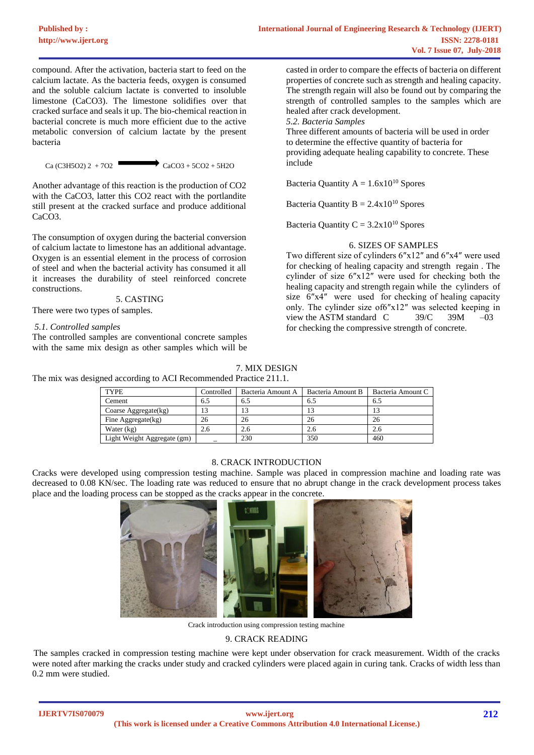compound. After the activation, bacteria start to feed on the calcium lactate. As the bacteria feeds, oxygen is consumed and the soluble calcium lactate is converted to insoluble limestone (CaCO3). The limestone solidifies over that cracked surface and seals it up. The bio-chemical reaction in bacterial concrete is much more efficient due to the active metabolic conversion of calcium lactate by the present bacteria

 $Ca (C3H5O2) 2 + 7O2$  CaCO3 + 5CO2 + 5H2O

Another advantage of this reaction is the production of CO2 with the CaCO3, latter this CO2 react with the portlandite still present at the cracked surface and produce additional CaCO3.

The consumption of oxygen during the bacterial conversion of calcium lactate to limestone has an additional advantage. Oxygen is an essential element in the process of corrosion of steel and when the bacterial activity has consumed it all it increases the durability of steel reinforced concrete constructions.

5. CASTING

There were two types of samples.

# *5.1. Controlled samples*

The controlled samples are conventional concrete samples with the same mix design as other samples which will be

casted in order to compare the effects of bacteria on different properties of concrete such as strength and healing capacity. The strength regain will also be found out by comparing the strength of controlled samples to the samples which are healed after crack development.

*5.2. Bacteria Samples*

Three different amounts of bacteria will be used in order to determine the effective quantity of bacteria for providing adequate healing capability to concrete. These include

Bacteria Quantity  $A = 1.6x10^{10}$  Spores

Bacteria Quantity  $B = 2.4x10^{10}$  Spores

Bacteria Quantity  $C = 3.2x10^{10}$  Spores

## 6. SIZES OF SAMPLES

Two different size of cylinders 6″x12″ and 6″x4″ were used for checking of healing capacity and strength regain . The cylinder of size 6″x12″ were used for checking both the healing capacity and strength regain while the cylinders of size 6″x4″ were used for checking of healing capacity only. The cylinder size of6″x12″ was selected keeping in view the ASTM standard C  $39/C$  39M –03 for checking the compressive strength of concrete.

7. MIX DESIGN

The mix was designed according to ACI Recommended Practice 211.1.

| <b>TYPE</b>                 | Controlled | Bacteria Amount A | Bacteria Amount B | Bacteria Amount C |
|-----------------------------|------------|-------------------|-------------------|-------------------|
| Cement                      | 6.5        | 6.5               | 6.5               | 6.5               |
| Coarse Aggregate $(kg)$     | 13         | LЭ                |                   | 13                |
| Fine Aggregate(kg)          | 26         | 26                | 26                | 26                |
| Water (kg)                  | 2.6        | 2.6               | 2.6               | 2.6               |
| Light Weight Aggregate (gm) |            | 230               | 350               | 460               |

## 8. CRACK INTRODUCTION

Cracks were developed using compression testing machine. Sample was placed in compression machine and loading rate was decreased to 0.08 KN/sec. The loading rate was reduced to ensure that no abrupt change in the crack development process takes place and the loading process can be stopped as the cracks appear in the concrete.



Crack introduction using compression testing machine

## 9. CRACK READING

The samples cracked in compression testing machine were kept under observation for crack measurement. Width of the cracks were noted after marking the cracks under study and cracked cylinders were placed again in curing tank. Cracks of width less than 0.2 mm were studied.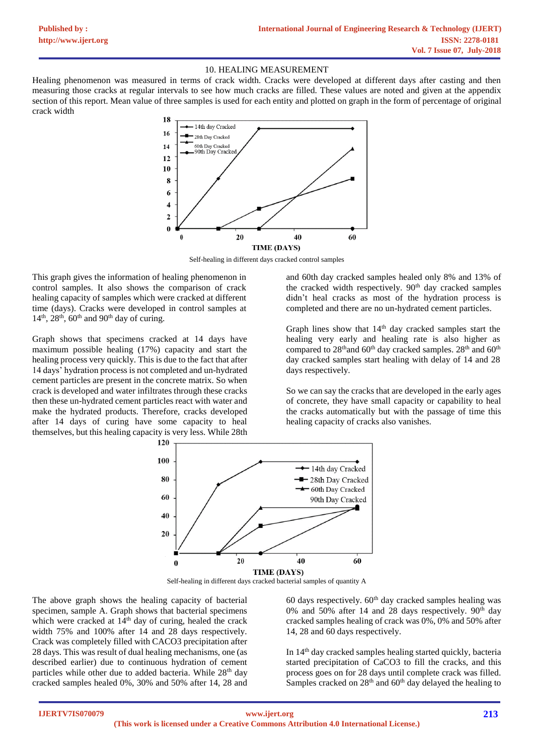#### 10. HEALING MEASUREMENT

Healing phenomenon was measured in terms of crack width. Cracks were developed at different days after casting and then measuring those cracks at regular intervals to see how much cracks are filled. These values are noted and given at the appendix section of this report. Mean value of three samples is used for each entity and plotted on graph in the form of percentage of original crack width



Self-healing in different days cracked control samples

This graph gives the information of healing phenomenon in control samples. It also shows the comparison of crack healing capacity of samples which were cracked at different time (days). Cracks were developed in control samples at  $14<sup>th</sup>$ ,  $28<sup>th</sup>$ ,  $60<sup>th</sup>$  and  $90<sup>th</sup>$  day of curing.

Graph shows that specimens cracked at 14 days have maximum possible healing (17%) capacity and start the healing process very quickly. This is due to the fact that after 14 days' hydration process is not completed and un-hydrated cement particles are present in the concrete matrix. So when crack is developed and water infiltrates through these cracks then these un-hydrated cement particles react with water and make the hydrated products. Therefore, cracks developed after 14 days of curing have some capacity to heal themselves, but this healing capacity is very less. While 28th

and 60th day cracked samples healed only 8% and 13% of the cracked width respectively.  $90<sup>th</sup>$  day cracked samples didn't heal cracks as most of the hydration process is completed and there are no un-hydrated cement particles.

Graph lines show that 14th day cracked samples start the healing very early and healing rate is also higher as compared to  $28<sup>th</sup>$  and  $60<sup>th</sup>$  day cracked samples.  $28<sup>th</sup>$  and  $60<sup>th</sup>$ day cracked samples start healing with delay of 14 and 28 days respectively.

So we can say the cracks that are developed in the early ages of concrete, they have small capacity or capability to heal the cracks automatically but with the passage of time this healing capacity of cracks also vanishes.



Self-healing in different days cracked bacterial samples of quantity A

The above graph shows the healing capacity of bacterial specimen, sample A. Graph shows that bacterial specimens which were cracked at  $14<sup>th</sup>$  day of curing, healed the crack width 75% and 100% after 14 and 28 days respectively. Crack was completely filled with CACO3 precipitation after 28 days. This was result of dual healing mechanisms, one (as described earlier) due to continuous hydration of cement particles while other due to added bacteria. While 28<sup>th</sup> day cracked samples healed 0%, 30% and 50% after 14, 28 and

60 days respectively.  $60<sup>th</sup>$  day cracked samples healing was 0% and 50% after 14 and 28 days respectively.  $90<sup>th</sup>$  day cracked samples healing of crack was 0%, 0% and 50% after 14, 28 and 60 days respectively.

In  $14<sup>th</sup>$  day cracked samples healing started quickly, bacteria started precipitation of CaCO3 to fill the cracks, and this process goes on for 28 days until complete crack was filled. Samples cracked on 28<sup>th</sup> and 60<sup>th</sup> day delayed the healing to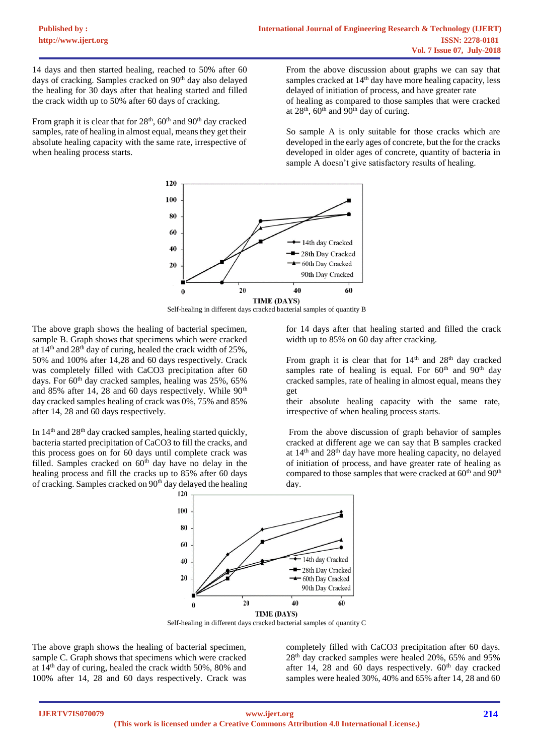14 days and then started healing, reached to 50% after 60 days of cracking. Samples cracked on 90<sup>th</sup> day also delayed the healing for 30 days after that healing started and filled the crack width up to 50% after 60 days of cracking.

From graph it is clear that for  $28<sup>th</sup>$ ,  $60<sup>th</sup>$  and  $90<sup>th</sup>$  day cracked samples, rate of healing in almost equal, means they get their absolute healing capacity with the same rate, irrespective of when healing process starts.

From the above discussion about graphs we can say that samples cracked at 14<sup>th</sup> day have more healing capacity, less delayed of initiation of process, and have greater rate of healing as compared to those samples that were cracked at  $28<sup>th</sup>$ , 60<sup>th</sup> and 90<sup>th</sup> day of curing.

So sample A is only suitable for those cracks which are developed in the early ages of concrete, but the for the cracks developed in older ages of concrete, quantity of bacteria in sample A doesn't give satisfactory results of healing.



Self-healing in different days cracked bacterial samples of quantity B

The above graph shows the healing of bacterial specimen, sample B. Graph shows that specimens which were cracked at  $14^{th}$  and  $28^{th}$  day of curing, healed the crack width of  $25\%$ . 50% and 100% after 14,28 and 60 days respectively. Crack was completely filled with CaCO3 precipitation after 60 days. For 60<sup>th</sup> day cracked samples, healing was 25%, 65% and 85% after 14, 28 and 60 days respectively. While  $90<sup>th</sup>$ day cracked samples healing of crack was 0%, 75% and 85% after 14, 28 and 60 days respectively.

In  $14<sup>th</sup>$  and  $28<sup>th</sup>$  day cracked samples, healing started quickly, bacteria started precipitation of CaCO3 to fill the cracks, and this process goes on for 60 days until complete crack was filled. Samples cracked on  $60<sup>th</sup>$  day have no delay in the healing process and fill the cracks up to 85% after 60 days of cracking. Samples cracked on 90<sup>th</sup> day delayed the healing

for 14 days after that healing started and filled the crack width up to 85% on 60 day after cracking.

From graph it is clear that for  $14<sup>th</sup>$  and  $28<sup>th</sup>$  day cracked samples rate of healing is equal. For  $60<sup>th</sup>$  and  $90<sup>th</sup>$  day cracked samples, rate of healing in almost equal, means they get

their absolute healing capacity with the same rate, irrespective of when healing process starts.

From the above discussion of graph behavior of samples cracked at different age we can say that B samples cracked at  $14<sup>th</sup>$  and  $28<sup>th</sup>$  day have more healing capacity, no delayed of initiation of process, and have greater rate of healing as compared to those samples that were cracked at 60<sup>th</sup> and 90<sup>th</sup> day.



Self-healing in different days cracked bacterial samples of quantity C

The above graph shows the healing of bacterial specimen, sample C. Graph shows that specimens which were cracked at 14th day of curing, healed the crack width 50%, 80% and 100% after 14, 28 and 60 days respectively. Crack was completely filled with CaCO3 precipitation after 60 days. 28th day cracked samples were healed 20%, 65% and 95% after 14, 28 and 60 days respectively.  $60<sup>th</sup>$  day cracked samples were healed 30%, 40% and 65% after 14, 28 and 60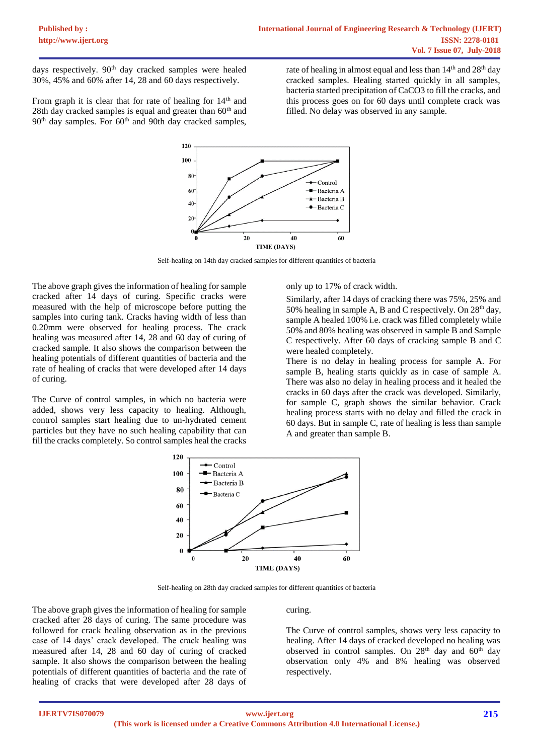days respectively. 90<sup>th</sup> day cracked samples were healed 30%, 45% and 60% after 14, 28 and 60 days respectively.

From graph it is clear that for rate of healing for  $14<sup>th</sup>$  and 28th day cracked samples is equal and greater than  $60<sup>th</sup>$  and  $90<sup>th</sup>$  day samples. For  $60<sup>th</sup>$  and  $90th$  day cracked samples,

rate of healing in almost equal and less than  $14<sup>th</sup>$  and  $28<sup>th</sup>$  day cracked samples. Healing started quickly in all samples, bacteria started precipitation of CaCO3 to fill the cracks, and this process goes on for 60 days until complete crack was filled. No delay was observed in any sample.



Self-healing on 14th day cracked samples for different quantities of bacteria

The above graph gives the information of healing for sample cracked after 14 days of curing. Specific cracks were measured with the help of microscope before putting the samples into curing tank. Cracks having width of less than 0.20mm were observed for healing process. The crack healing was measured after 14, 28 and 60 day of curing of cracked sample. It also shows the comparison between the healing potentials of different quantities of bacteria and the rate of healing of cracks that were developed after 14 days of curing.

The Curve of control samples, in which no bacteria were added, shows very less capacity to healing. Although, control samples start healing due to un-hydrated cement particles but they have no such healing capability that can fill the cracks completely. So control samples heal the cracks

only up to 17% of crack width.

Similarly, after 14 days of cracking there was 75%, 25% and 50% healing in sample A, B and C respectively. On  $28<sup>th</sup>$  day, sample A healed 100% i.e. crack was filled completely while 50% and 80% healing was observed in sample B and Sample C respectively. After 60 days of cracking sample B and C were healed completely.

There is no delay in healing process for sample A. For sample B, healing starts quickly as in case of sample A. There was also no delay in healing process and it healed the cracks in 60 days after the crack was developed. Similarly, for sample C, graph shows the similar behavior. Crack healing process starts with no delay and filled the crack in 60 days. But in sample C, rate of healing is less than sample A and greater than sample B.



Self-healing on 28th day cracked samples for different quantities of bacteria

The above graph gives the information of healing for sample cracked after 28 days of curing. The same procedure was followed for crack healing observation as in the previous case of 14 days' crack developed. The crack healing was measured after 14, 28 and 60 day of curing of cracked sample. It also shows the comparison between the healing potentials of different quantities of bacteria and the rate of healing of cracks that were developed after 28 days of

#### curing.

The Curve of control samples, shows very less capacity to healing. After 14 days of cracked developed no healing was observed in control samples. On 28<sup>th</sup> day and 60<sup>th</sup> day observation only 4% and 8% healing was observed respectively.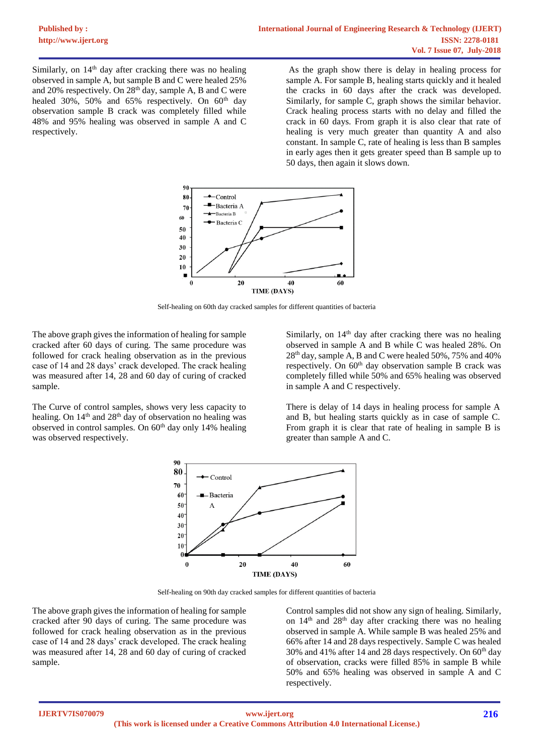Similarly, on  $14<sup>th</sup>$  day after cracking there was no healing observed in sample A, but sample B and C were healed 25% and 20% respectively. On 28<sup>th</sup> day, sample A, B and C were healed 30%, 50% and 65% respectively. On  $60<sup>th</sup>$  day observation sample B crack was completely filled while 48% and 95% healing was observed in sample A and C respectively.

As the graph show there is delay in healing process for sample A. For sample B, healing starts quickly and it healed the cracks in 60 days after the crack was developed. Similarly, for sample C, graph shows the similar behavior. Crack healing process starts with no delay and filled the crack in 60 days. From graph it is also clear that rate of healing is very much greater than quantity A and also constant. In sample C, rate of healing is less than B samples in early ages then it gets greater speed than B sample up to 50 days, then again it slows down.



Self-healing on 60th day cracked samples for different quantities of bacteria

The above graph gives the information of healing for sample cracked after 60 days of curing. The same procedure was followed for crack healing observation as in the previous case of 14 and 28 days' crack developed. The crack healing was measured after 14, 28 and 60 day of curing of cracked sample.

The Curve of control samples, shows very less capacity to healing. On 14<sup>th</sup> and 28<sup>th</sup> day of observation no healing was observed in control samples. On  $60<sup>th</sup>$  day only 14% healing was observed respectively.

Similarly, on  $14<sup>th</sup>$  day after cracking there was no healing observed in sample A and B while C was healed 28%. On 28th day, sample A, B and C were healed 50%, 75% and 40% respectively. On 60<sup>th</sup> day observation sample B crack was completely filled while 50% and 65% healing was observed in sample A and C respectively.

There is delay of 14 days in healing process for sample A and B, but healing starts quickly as in case of sample C. From graph it is clear that rate of healing in sample B is greater than sample A and C.



Self-healing on 90th day cracked samples for different quantities of bacteria

The above graph gives the information of healing for sample cracked after 90 days of curing. The same procedure was followed for crack healing observation as in the previous case of 14 and 28 days' crack developed. The crack healing was measured after 14, 28 and 60 day of curing of cracked sample.

Control samples did not show any sign of healing. Similarly, on 14<sup>th</sup> and 28<sup>th</sup> day after cracking there was no healing observed in sample A. While sample B was healed 25% and 66% after 14 and 28 days respectively. Sample C was healed 30% and 41% after 14 and 28 days respectively. On  $60<sup>th</sup>$  day of observation, cracks were filled 85% in sample B while 50% and 65% healing was observed in sample A and C respectively.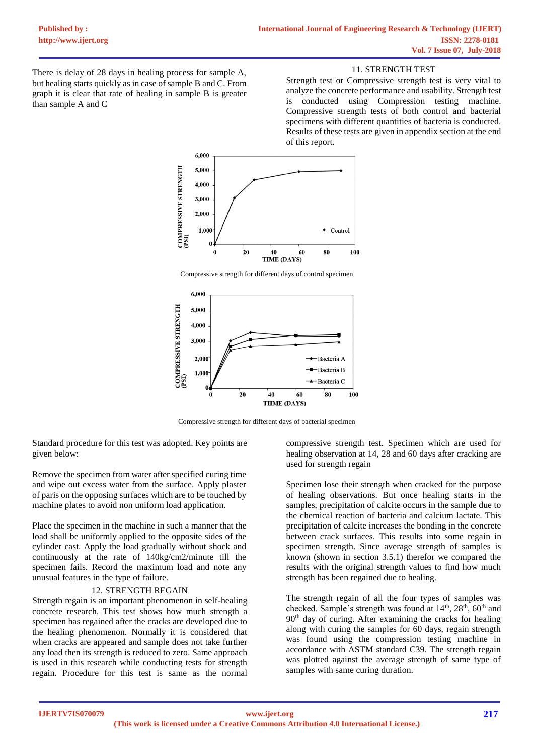11. STRENGTH TEST

There is delay of 28 days in healing process for sample A, but healing starts quickly as in case of sample B and C. From graph it is clear that rate of healing in sample B is greater than sample A and C

Strength test or Compressive strength test is very vital to analyze the concrete performance and usability. Strength test is conducted using Compression testing machine. Compressive strength tests of both control and bacterial specimens with different quantities of bacteria is conducted. Results of these tests are given in appendix section at the end of this report.



Compressive strength for different days of control specimen



Compressive strength for different days of bacterial specimen

Standard procedure for this test was adopted. Key points are given below:

Remove the specimen from water after specified curing time and wipe out excess water from the surface. Apply plaster of paris on the opposing surfaces which are to be touched by machine plates to avoid non uniform load application.

Place the specimen in the machine in such a manner that the load shall be uniformly applied to the opposite sides of the cylinder cast. Apply the load gradually without shock and continuously at the rate of 140kg/cm2/minute till the specimen fails. Record the maximum load and note any unusual features in the type of failure.

## 12. STRENGTH REGAIN

Strength regain is an important phenomenon in self-healing concrete research. This test shows how much strength a specimen has regained after the cracks are developed due to the healing phenomenon. Normally it is considered that when cracks are appeared and sample does not take further any load then its strength is reduced to zero. Same approach is used in this research while conducting tests for strength regain. Procedure for this test is same as the normal

compressive strength test. Specimen which are used for healing observation at 14, 28 and 60 days after cracking are used for strength regain

Specimen lose their strength when cracked for the purpose of healing observations. But once healing starts in the samples, precipitation of calcite occurs in the sample due to the chemical reaction of bacteria and calcium lactate. This precipitation of calcite increases the bonding in the concrete between crack surfaces. This results into some regain in specimen strength. Since average strength of samples is known (shown in section 3.5.1) therefor we compared the results with the original strength values to find how much strength has been regained due to healing.

The strength regain of all the four types of samples was checked. Sample's strength was found at  $14<sup>th</sup>$ ,  $28<sup>th</sup>$ ,  $60<sup>th</sup>$  and  $90<sup>th</sup>$  day of curing. After examining the cracks for healing along with curing the samples for 60 days, regain strength was found using the compression testing machine in accordance with ASTM standard C39. The strength regain was plotted against the average strength of same type of samples with same curing duration.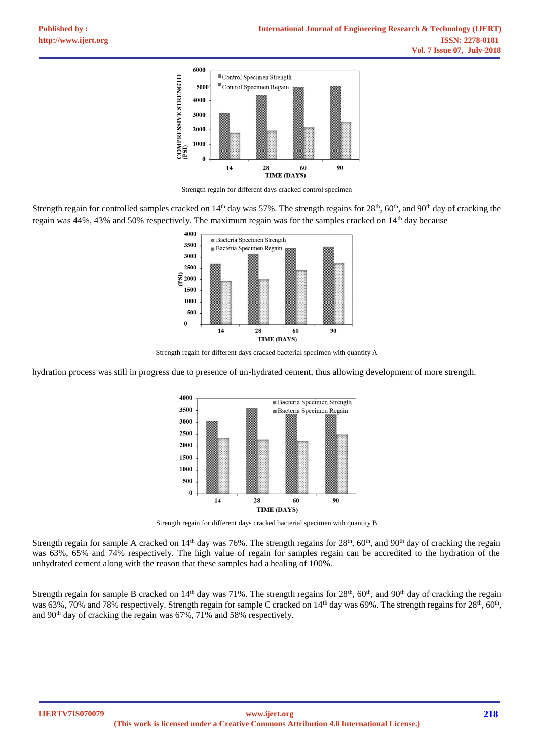

Strength regain for different days cracked control specimen

Strength regain for controlled samples cracked on 14<sup>th</sup> day was 57%. The strength regains for 28<sup>th</sup>, 60<sup>th</sup>, and 90<sup>th</sup> day of cracking the regain was 44%, 43% and 50% respectively. The maximum regain was for the samples cracked on 14<sup>th</sup> day because



Strength regain for different days cracked bacterial specimen with quantity A

hydration process was still in progress due to presence of un-hydrated cement, thus allowing development of more strength.



Strength regain for different days cracked bacterial specimen with quantity B

Strength regain for sample A cracked on  $14<sup>th</sup>$  day was 76%. The strength regains for  $28<sup>th</sup>$ , 60<sup>th</sup>, and 90<sup>th</sup> day of cracking the regain was 63%, 65% and 74% respectively. The high value of regain for samples regain can be accredited to the hydration of the unhydrated cement along with the reason that these samples had a healing of 100%.

Strength regain for sample B cracked on 14<sup>th</sup> day was 71%. The strength regains for  $28<sup>th</sup>$ , 60<sup>th</sup>, and 90<sup>th</sup> day of cracking the regain was 63%, 70% and 78% respectively. Strength regain for sample C cracked on  $14<sup>th</sup>$  day was 69%. The strength regains for  $28<sup>th</sup>$ , 60<sup>th</sup>, and 90th day of cracking the regain was 67%, 71% and 58% respectively.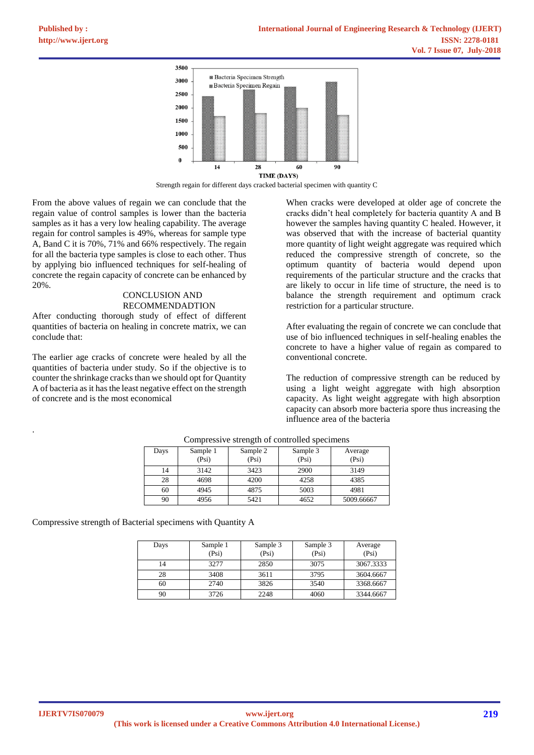

Strength regain for different days cracked bacterial specimen with quantity C

From the above values of regain we can conclude that the regain value of control samples is lower than the bacteria samples as it has a very low healing capability. The average regain for control samples is 49%, whereas for sample type A, Band C it is 70%, 71% and 66% respectively. The regain for all the bacteria type samples is close to each other. Thus by applying bio influenced techniques for self-healing of concrete the regain capacity of concrete can be enhanced by 20%.

# CONCLUSION AND RECOMMENDADTION

After conducting thorough study of effect of different quantities of bacteria on healing in concrete matrix, we can conclude that:

The earlier age cracks of concrete were healed by all the quantities of bacteria under study. So if the objective is to counter the shrinkage cracks than we should opt for Quantity A of bacteria as it has the least negative effect on the strength of concrete and is the most economical

When cracks were developed at older age of concrete the cracks didn't heal completely for bacteria quantity A and B however the samples having quantity C healed. However, it was observed that with the increase of bacterial quantity more quantity of light weight aggregate was required which reduced the compressive strength of concrete, so the optimum quantity of bacteria would depend upon requirements of the particular structure and the cracks that are likely to occur in life time of structure, the need is to balance the strength requirement and optimum crack restriction for a particular structure.

After evaluating the regain of concrete we can conclude that use of bio influenced techniques in self-healing enables the concrete to have a higher value of regain as compared to conventional concrete.

The reduction of compressive strength can be reduced by using a light weight aggregate with high absorption capacity. As light weight aggregate with high absorption capacity can absorb more bacteria spore thus increasing the influence area of the bacteria

| Days | Sample 1<br>(Psi) | Sample 2<br>(Psi) | Sample 3<br>(Psi) | Average<br>(Psi) |
|------|-------------------|-------------------|-------------------|------------------|
| 14   | 3142              | 3423              | 2900              | 3149             |
| 28   | 4698              | 4200              | 4258              | 4385             |
| 60   | 4945              | 4875              | 5003              | 4981             |
| 90   | 4956              | 5421              | 4652              | 5009.66667       |

Compressive strength of controlled specimens

Compressive strength of Bacterial specimens with Quantity A

| Days | Sample 1<br>(Psi) | Sample 3<br>(Psi) | Sample 3<br>(Psi) | Average<br>(Psi) |
|------|-------------------|-------------------|-------------------|------------------|
|      | 3277              | 2850              | 3075              | 3067.3333        |
| 28   | 3408              | 3611              | 3795              | 3604.6667        |
| 60   | 2740              | 3826              | 3540              | 3368.6667        |
| 90   | 3726              | 2248              | 4060              | 3344.6667        |

.